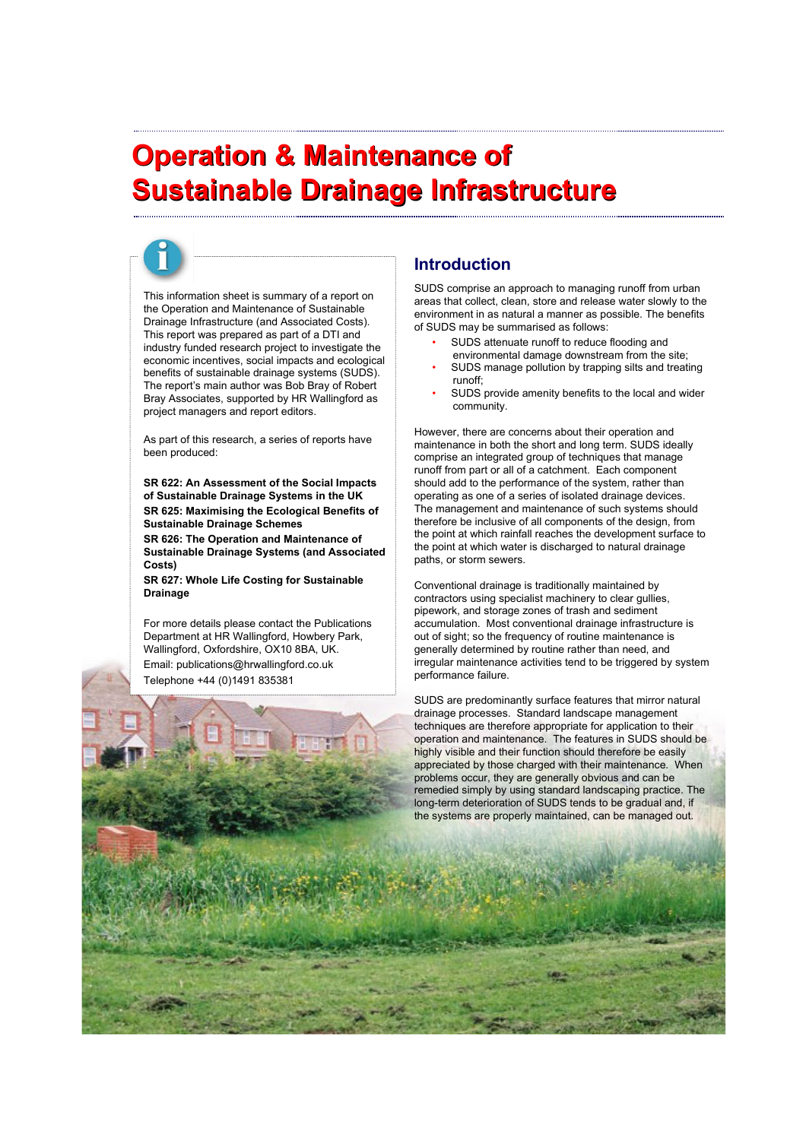# **Operation & Maintenance of Operation & Maintenance of Sustainable Drainage Infrastructure Sustainable Drainage Infrastructure**

This information sheet is summary of a report on the Operation and Maintenance of Sustainable Drainage Infrastructure (and Associated Costs). This report was prepared as part of a DTI and industry funded research project to investigate the economic incentives, social impacts and ecological benefits of sustainable drainage systems (SUDS). The report's main author was Bob Bray of Robert Bray Associates, supported by HR Wallingford as project managers and report editors.

As part of this research, a series of reports have been produced:

**SR 622: An Assessment of the Social Impacts of Sustainable Drainage Systems in the UK SR 625: Maximising the Ecological Benefits of Sustainable Drainage Schemes**

**SR 626: The Operation and Maintenance of Sustainable Drainage Systems (and Associated Costs)**

**SR 627: Whole Life Costing for Sustainable Drainage**

For more details please contact the Publications Department at HR Wallingford, Howbery Park, Wallingford, Oxfordshire, OX10 8BA, UK. Email: publications@hrwallingford.co.uk Telephone +44 (0)1491 835381

### **Introduction**

SUDS comprise an approach to managing runoff from urban areas that collect, clean, store and release water slowly to the environment in as natural a manner as possible. The benefits of SUDS may be summarised as follows:

- SUDS attenuate runoff to reduce flooding and environmental damage downstream from the site;
- SUDS manage pollution by trapping silts and treating runoff;
- SUDS provide amenity benefits to the local and wider community.

However, there are concerns about their operation and maintenance in both the short and long term. SUDS ideally comprise an integrated group of techniques that manage runoff from part or all of a catchment. Each component should add to the performance of the system, rather than operating as one of a series of isolated drainage devices. The management and maintenance of such systems should therefore be inclusive of all components of the design, from the point at which rainfall reaches the development surface to the point at which water is discharged to natural drainage paths, or storm sewers.

Conventional drainage is traditionally maintained by contractors using specialist machinery to clear gullies, pipework, and storage zones of trash and sediment accumulation. Most conventional drainage infrastructure is out of sight; so the frequency of routine maintenance is generally determined by routine rather than need, and irregular maintenance activities tend to be triggered by system performance failure.

SUDS are predominantly surface features that mirror natural drainage processes. Standard landscape management techniques are therefore appropriate for application to their operation and maintenance. The features in SUDS should be highly visible and their function should therefore be easily appreciated by those charged with their maintenance. When problems occur, they are generally obvious and can be remedied simply by using standard landscaping practice. The long-term deterioration of SUDS tends to be gradual and, if the systems are properly maintained, can be managed out.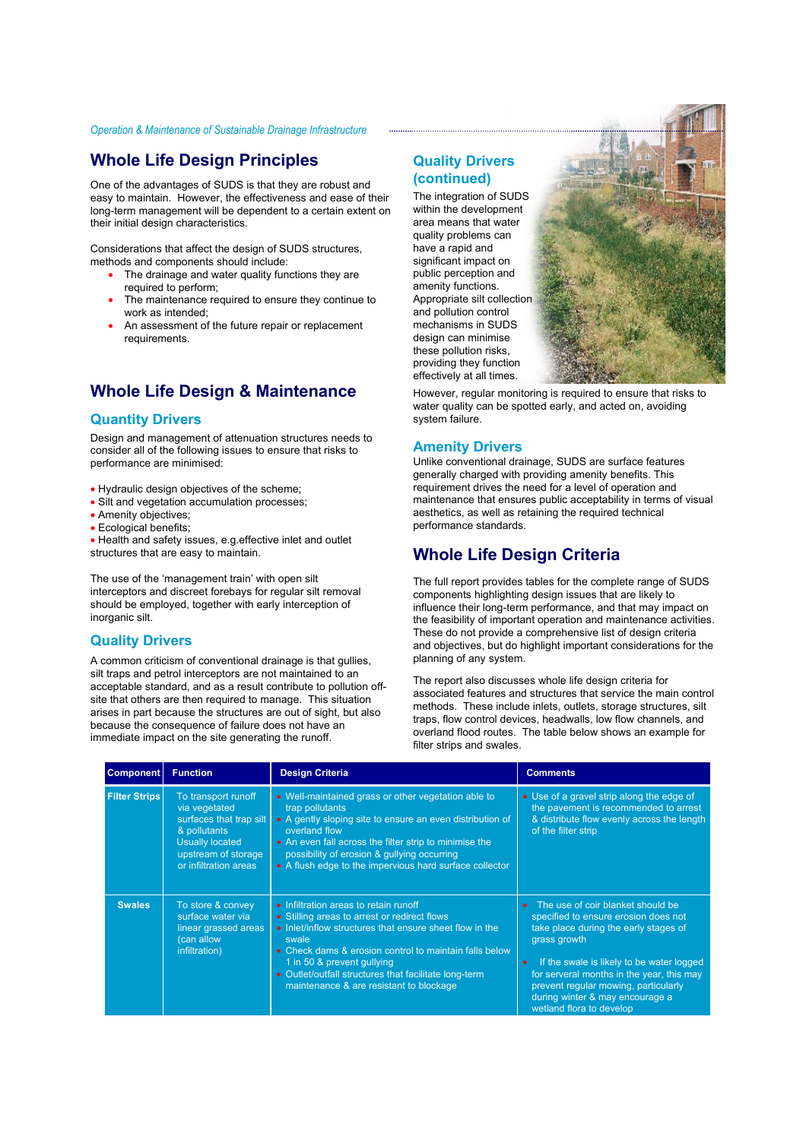## **Whole Life Design Principles Whole Life Design Principles**

One of the advantages of SUDS is that they are robust and easy to maintain. However, the effectiveness and ease of their long-term management will be dependent to a certain extent on their initial design characteristics.

Considerations that affect the design of SUDS structures, methods and components should include:

- The drainage and water quality functions they are required to perform;
- The maintenance required to ensure they continue to work as intended;
- An assessment of the future repair or replacement requirements.

# **Whole Life Design & Maintenance Whole Life Design & Maintenance**

#### **Quantity Drivers**

Design and management of attenuation structures needs to consider all of the following issues to ensure that risks to performance are minimised:

- Hydraulic design objectives of the scheme;
- Silt and vegetation accumulation processes;
- Amenity objectives;
- Ecological benefits;

• Health and safety issues, e.g.effective inlet and outlet structures that are easy to maintain.

The use of the 'management train' with open silt interceptors and discreet forebays for regular silt removal should be employed, together with early interception of inorganic silt.

#### **Quality Drivers**

A common criticism of conventional drainage is that gullies, silt traps and petrol interceptors are not maintained to an acceptable standard, and as a result contribute to pollution offsite that others are then required to manage. This situation arises in part because the structures are out of sight, but also because the consequence of failure does not have an immediate impact on the site generating the runoff.

#### **Quality Drivers (continued)**

The integration of SUDS within the development area means that water quality problems can have a rapid and significant impact on public perception and amenity functions. Appropriate silt collection and pollution control mechanisms in SUDS design can minimise these pollution risks, providing they function effectively at all times.



However, regular monitoring is required to ensure that risks to water quality can be spotted early, and acted on, avoiding system failure.

#### **Amenity Drivers**

Unlike conventional drainage, SUDS are surface features generally charged with providing amenity benefits. This requirement drives the need for a level of operation and maintenance that ensures public acceptability in terms of visual aesthetics, as well as retaining the required technical performance standards.

# **Whole Life Design Criteria Whole Life Design Criteria**

The full report provides tables for the complete range of SUDS components highlighting design issues that are likely to influence their long-term performance, and that may impact on the feasibility of important operation and maintenance activities. These do not provide a comprehensive list of design criteria and objectives, but do highlight important considerations for the planning of any system.

The report also discusses whole life design criteria for associated features and structures that service the main control methods. These include inlets, outlets, storage structures, silt traps, flow control devices, headwalls, low flow channels, and overland flood routes. The table below shows an example for filter strips and swales.

| Component            | <b>Function</b>                                                                                                                                           | <b>Design Criteria</b>                                                                                                                                                                                                                                                                                                                                | <b>Comments</b>                                                                                                                                                                                                                                                                                                                     |
|----------------------|-----------------------------------------------------------------------------------------------------------------------------------------------------------|-------------------------------------------------------------------------------------------------------------------------------------------------------------------------------------------------------------------------------------------------------------------------------------------------------------------------------------------------------|-------------------------------------------------------------------------------------------------------------------------------------------------------------------------------------------------------------------------------------------------------------------------------------------------------------------------------------|
| <b>Filter Strips</b> | To transport runoff<br>via vegetated<br>surfaces that trap silt<br>& pollutants<br><b>Usually located</b><br>upstream of storage<br>or infiltration areas | • Well-maintained grass or other vegetation able to<br>trap pollutants<br>• A gently sloping site to ensure an even distribution of<br>overland flow<br>• An even fall across the filter strip to minimise the<br>possibility of erosion & gullying occurring<br>• A flush edge to the impervious hard surface collector                              | • Use of a gravel strip along the edge of<br>the pavement is recommended to arrest<br>& distribute flow evenly across the length<br>of the filter strip                                                                                                                                                                             |
| <b>Swales</b>        | To store & convey<br>surface water via<br>linear grassed areas<br>(can allow<br>infiltration)                                                             | • Infiltration areas to retain runoff<br>• Stilling areas to arrest or redirect flows<br>• Inlet/inflow structures that ensure sheet flow in the<br>swale<br>• Check dams & erosion control to maintain falls below<br>1 in 50 & prevent gullying<br>• Outlet/outfall structures that facilitate long-term<br>maintenance & are resistant to blockage | The use of coir blanket should be<br>specified to ensure erosion does not<br>take place during the early stages of<br>grass growth<br>If the swale is likely to be water logged<br>for serveral months in the year, this may<br>prevent regular mowing, particularly<br>during winter & may encourage a<br>wetland flora to develop |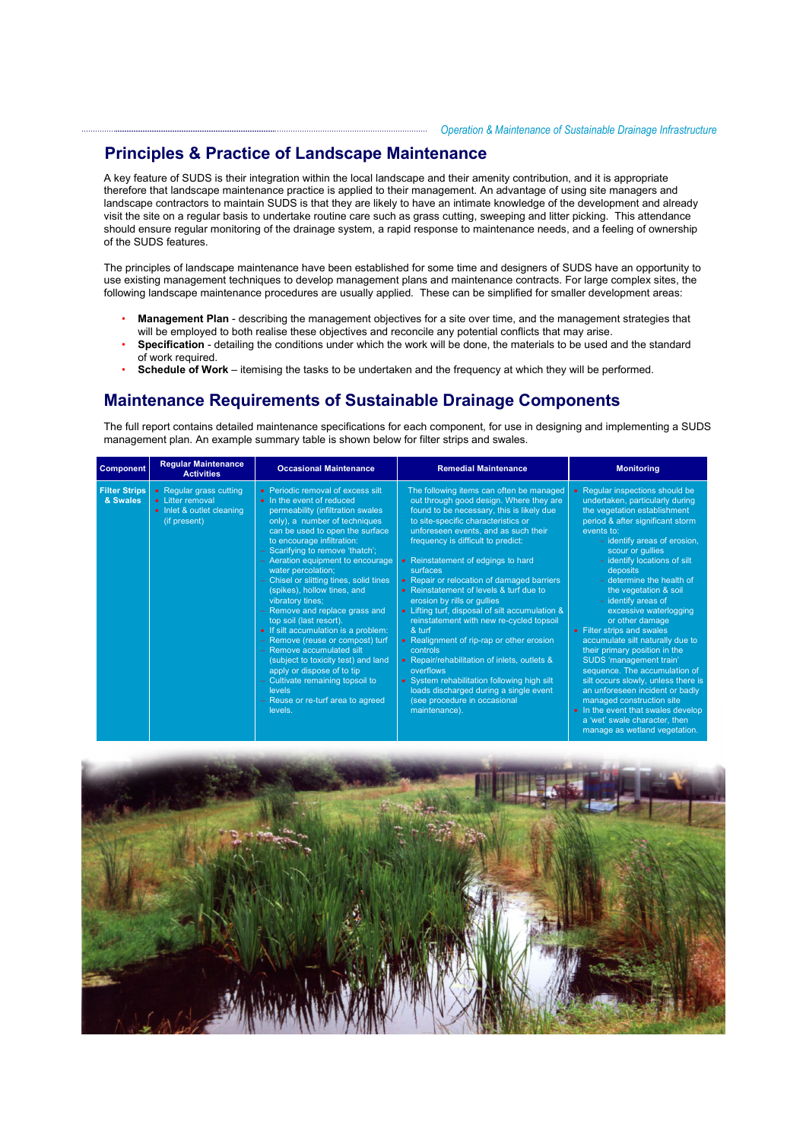### **Principles & Practice of Landscape Maintenance Principles & Practice of Landscape Maintenance**

therefore that landscape maintenance practice is applied to their management. An advantage of using site managers and landscape contractors to maintain SUDS is that they are likely to have an intimate knowledge of the development and already A key feature of SUDS is their integration within the local landscape and their amenity contribution, and it is appropriate visit the site on a regular basis to undertake routine care such as grass cutting, sweeping and litter picking. This attendance should ensure regular monitoring of the drainage system, a rapid response to maintenance needs, and a feeling of ownership of the SUDS features.

................................

The principles of landscape maintenance have been established for some time and designers of SUDS have an opportunity to use existing management techniques to develop management plans and maintenance contracts. For large complex sites, the following landscape maintenance procedures are usually applied. These can be simplified for smaller development areas:

- **Management Plan** describing the management objectives for a site over time, and the management strategies that will be employed to both realise these objectives and reconcile any potential conflicts that may arise.
- **Specification** detailing the conditions under which the work will be done, the materials to be used and the standard of work required.
- **Schedule of Work** itemising the tasks to be undertaken and the frequency at which they will be performed.

### **Maintenance Requirements of Sustainable Drainage Components**

The full report contains detailed maintenance specifications for each component, for use in designing and implementing a SUDS management plan. An example summary table is shown below for filter strips and swales.

| <b>Component</b>                 | <b>Regular Maintenance</b><br><b>Activities</b>                                          | <b>Occasional Maintenance</b>                                                                                                                                                                                                                                                                                                                                                                                                                                                                                                                                                                                                                                                                                                               | <b>Remedial Maintenance</b>                                                                                                                                                                                                                                                                                                                                                                                                                                                                                                                                                                                                                                                                                                                                                                              | <b>Monitoring</b>                                                                                                                                                                                                                                                                                                                                                                                                                                                                                                                                                                                                                                                                                                                                            |
|----------------------------------|------------------------------------------------------------------------------------------|---------------------------------------------------------------------------------------------------------------------------------------------------------------------------------------------------------------------------------------------------------------------------------------------------------------------------------------------------------------------------------------------------------------------------------------------------------------------------------------------------------------------------------------------------------------------------------------------------------------------------------------------------------------------------------------------------------------------------------------------|----------------------------------------------------------------------------------------------------------------------------------------------------------------------------------------------------------------------------------------------------------------------------------------------------------------------------------------------------------------------------------------------------------------------------------------------------------------------------------------------------------------------------------------------------------------------------------------------------------------------------------------------------------------------------------------------------------------------------------------------------------------------------------------------------------|--------------------------------------------------------------------------------------------------------------------------------------------------------------------------------------------------------------------------------------------------------------------------------------------------------------------------------------------------------------------------------------------------------------------------------------------------------------------------------------------------------------------------------------------------------------------------------------------------------------------------------------------------------------------------------------------------------------------------------------------------------------|
| <b>Filter Strips</b><br>& Swales | • Regular grass cutting<br>• Litter removal<br>• Inlet & outlet cleaning<br>(if present) | • Periodic removal of excess silt<br>• In the event of reduced<br>permeability (infiltration swales<br>only), a number of techniques<br>can be used to open the surface<br>to encourage infiltration:<br>- Scarifying to remove 'thatch';<br>- Aeration equipment to encourage<br>water percolation;<br>- Chisel or slitting tines, solid tines<br>(spikes), hollow tines, and<br>vibratory tines;<br>- Remove and replace grass and<br>top soil (last resort).<br>• If silt accumulation is a problem:<br>- Remove (reuse or compost) turf<br>- Remove accumulated silt<br>(subject to toxicity test) and land<br>apply or dispose of to tip<br>- Cultivate remaining topsoil to<br>levels<br>- Reuse or re-turf area to agreed<br>levels. | The following items can often be managed<br>out through good design. Where they are<br>found to be necessary, this is likely due<br>to site-specific characteristics or<br>unforeseen events, and as such their<br>frequency is difficult to predict:<br>• Reinstatement of edgings to hard<br>surfaces<br>• Repair or relocation of damaged barriers<br>• Reinstatement of levels & turf due to<br>erosion by rills or gullies<br>• Lifting turf, disposal of silt accumulation &<br>reinstatement with new re-cycled topsoil<br>& turf<br>• Realignment of rip-rap or other erosion<br>controls<br>• Repair/rehabilitation of inlets, outlets &<br>overflows<br>• System rehabilitation following high silt<br>loads discharged during a single event<br>(see procedure in occasional<br>maintenance). | • Regular inspections should be<br>undertaken, particularly during<br>the vegetation establishment<br>period & after significant storm<br>events to:<br>- identify areas of erosion,<br>scour or gullies<br>- identify locations of silt<br>deposits<br>- determine the health of<br>the vegetation & soil<br>- identify areas of<br>excessive waterlogging<br>or other damage<br>• Filter strips and swales<br>accumulate silt naturally due to<br>their primary position in the<br>SUDS 'management train'<br>sequence. The accumulation of<br>silt occurs slowly, unless there is<br>an unforeseen incident or badly<br>managed construction site<br>• In the event that swales develop<br>a 'wet' swale character, then<br>manage as wetland vegetation. |